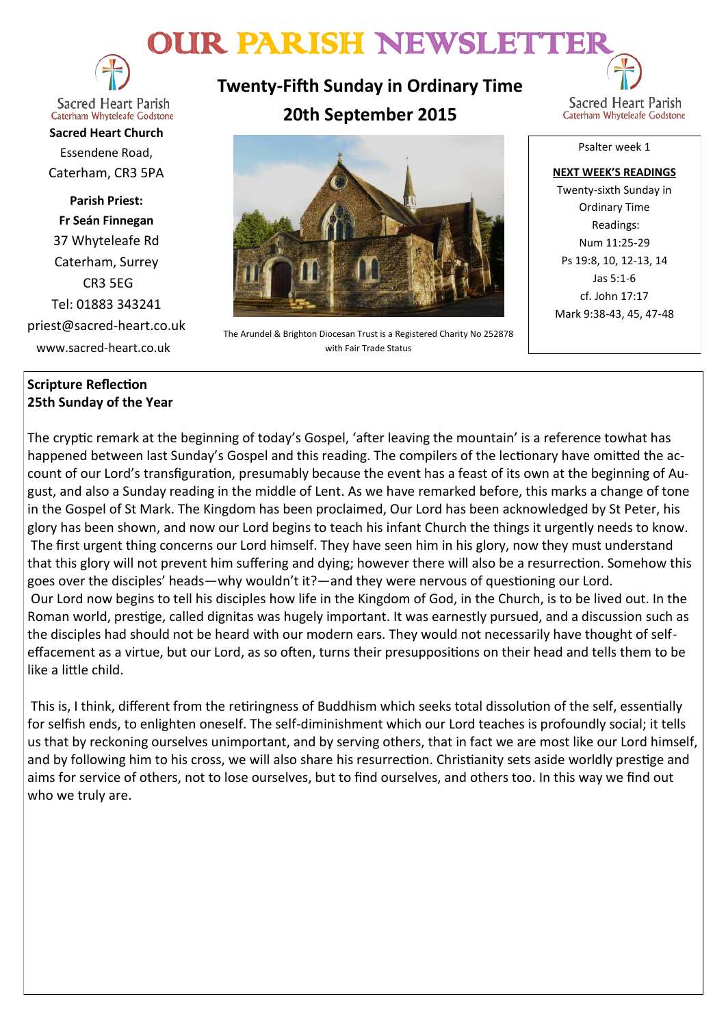# OUR PARISH NEWSLETTER



**Sacred Heart Parish** Caterham Whyteleafe Godstone

**Sacred Heart Church** Essendene Road, Caterham, CR3 5PA

**Parish Priest: Fr Seán Finnegan** 37 Whyteleafe Rd Caterham, Surrey CR3 5EG Tel: 01883 343241 priest@sacred-heart.co.uk www.sacred-heart.co.uk

# **Scripture Reflection 25th Sunday of the Year**

**Twenty-Fifth Sunday in Ordinary Time 20th September 2015**



Ordinary Time Readings: Num 11:25-29 Ps 19:8, 10, 12-13, 14 Jas 5:1-6 cf. John 17:17 Mark 9:38-43, 45, 47-48

The Arundel & Brighton Diocesan Trust is a Registered Charity No 252878 with Fair Trade Status

The cryptic remark at the beginning of today's Gospel, 'after leaving the mountain' is a reference towhat has happened between last Sunday's Gospel and this reading. The compilers of the lectionary have omitted the account of our Lord's transfiguration, presumably because the event has a feast of its own at the beginning of August, and also a Sunday reading in the middle of Lent. As we have remarked before, this marks a change of tone in the Gospel of St Mark. The Kingdom has been proclaimed, Our Lord has been acknowledged by St Peter, his glory has been shown, and now our Lord begins to teach his infant Church the things it urgently needs to know. The first urgent thing concerns our Lord himself. They have seen him in his glory, now they must understand that this glory will not prevent him suffering and dying; however there will also be a resurrection. Somehow this goes over the disciples' heads—why wouldn't it?—and they were nervous of questioning our Lord. Our Lord now begins to tell his disciples how life in the Kingdom of God, in the Church, is to be lived out. In the Roman world, prestige, called dignitas was hugely important. It was earnestly pursued, and a discussion such as the disciples had should not be heard with our modern ears. They would not necessarily have thought of selfeffacement as a virtue, but our Lord, as so often, turns their presuppositions on their head and tells them to be like a little child.

This is, I think, different from the retiringness of Buddhism which seeks total dissolution of the self, essentially for selfish ends, to enlighten oneself. The self-diminishment which our Lord teaches is profoundly social; it tells us that by reckoning ourselves unimportant, and by serving others, that in fact we are most like our Lord himself, and by following him to his cross, we will also share his resurrection. Christianity sets aside worldly prestige and aims for service of others, not to lose ourselves, but to find ourselves, and others too. In this way we find out who we truly are.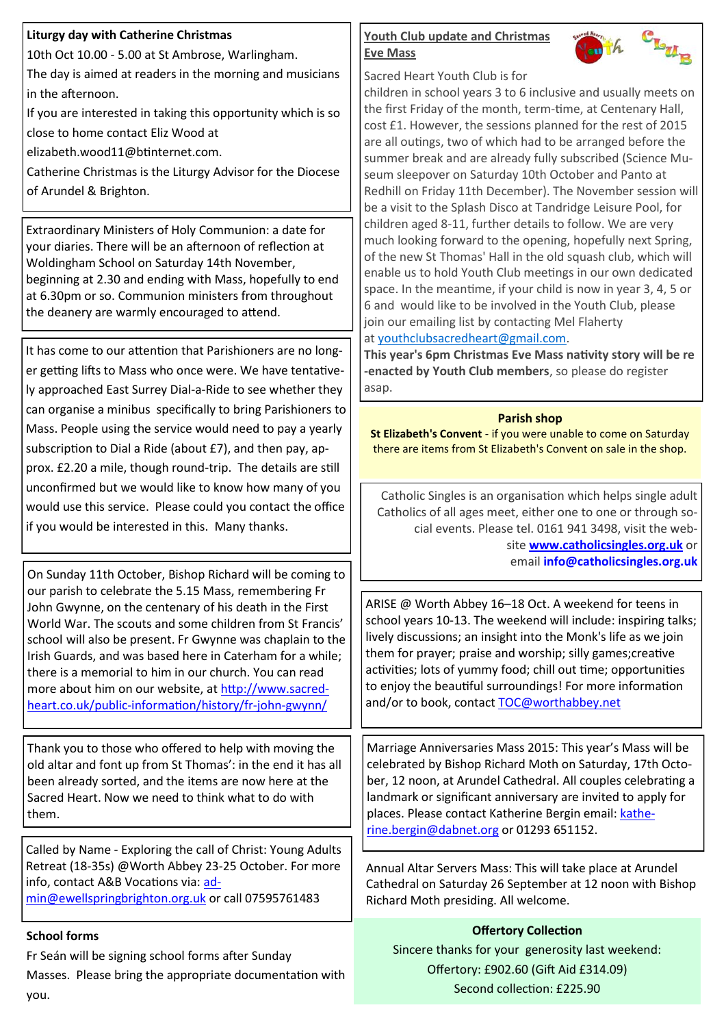## **Liturgy day with Catherine Christmas**

10th Oct 10.00 - 5.00 at St Ambrose, Warlingham.

The day is aimed at readers in the morning and musicians in the afternoon.

If you are interested in taking this opportunity which is so close to home contact Eliz Wood at

elizabeth.wood11@btinternet.com.

Catherine Christmas is the Liturgy Advisor for the Diocese of Arundel & Brighton.

Extraordinary Ministers of Holy Communion: a date for your diaries. There will be an afternoon of reflection at Woldingham School on Saturday 14th November, beginning at 2.30 and ending with Mass, hopefully to end at 6.30pm or so. Communion ministers from throughout the deanery are warmly encouraged to attend.

It has come to our attention that Parishioners are no longer getting lifts to Mass who once were. We have tentatively approached East Surrey Dial-a-Ride to see whether they can organise a minibus specifically to bring Parishioners to Mass. People using the service would need to pay a yearly subscription to Dial a Ride (about £7), and then pay, approx. £2.20 a mile, though round-trip. The details are still unconfirmed but we would like to know how many of you would use this service. Please could you contact the office if you would be interested in this. Many thanks.

On Sunday 11th October, Bishop Richard will be coming to our parish to celebrate the 5.15 Mass, remembering Fr John Gwynne, on the centenary of his death in the First World War. The scouts and some children from St Francis' school will also be present. Fr Gwynne was chaplain to the Irish Guards, and was based here in Caterham for a while; there is a memorial to him in our church. You can read more about him on our website, at [http://www.sacred](http://www.sacred-heart.co.uk/public-information/history/fr-john-gwynn/)heart.co.uk/public-[information/history/fr](http://www.sacred-heart.co.uk/public-information/history/fr-john-gwynn/)-john-gwynn/

Thank you to those who offered to help with moving the old altar and font up from St Thomas': in the end it has all been already sorted, and the items are now here at the Sacred Heart. Now we need to think what to do with them.

Called by Name - Exploring the call of Christ: Young Adults Retreat (18-35s) @Worth Abbey 23-25 October. For more info, contact A&B Vocations via: [ad](mailto:admin@ewellspringbrighton.org.uk)[min@ewellspringbrighton.org.uk](mailto:admin@ewellspringbrighton.org.uk) or call 07595761483

# **School forms**

Fr Seán will be signing school forms after Sunday Masses. Please bring the appropriate documentation with you.

# **Youth Club update and Christmas Eve Mass**



Sacred Heart Youth Club is for

children in school years 3 to 6 inclusive and usually meets on the first Friday of the month, term-time, at Centenary Hall, cost £1. However, the sessions planned for the rest of 2015 are all outings, two of which had to be arranged before the summer break and are already fully subscribed (Science Museum sleepover on Saturday 10th October and Panto at Redhill on Friday 11th December). The November session will be a visit to the Splash Disco at Tandridge Leisure Pool, for children aged 8-11, further details to follow. We are very much looking forward to the opening, hopefully next Spring, of the new St Thomas' Hall in the old squash club, which will enable us to hold Youth Club meetings in our own dedicated space. In the meantime, if your child is now in year 3, 4, 5 or 6 and would like to be involved in the Youth Club, please join our emailing list by contacting Mel Flaherty at [youthclubsacredheart@gmail.com.](mailto:youthclubsacredheart@gmail.com)

**This year's 6pm Christmas Eve Mass nativity story will be re -enacted by Youth Club members**, so please do register asap.

# **Parish shop**

**St Elizabeth's Convent** - if you were unable to come on Saturday there are items from St Elizabeth's Convent on sale in the shop.

Catholic Singles is an organisation which helps single adult Catholics of all ages meet, either one to one or through social events. Please tel. 0161 941 3498, visit the website **[www.catholicsingles.org.uk](http://www.catholicsingles.org.uk/)** or email **[info@catholicsingles.org.uk](mailto:info@catholicsingles.org.uk)**

ARISE @ Worth Abbey 16–18 Oct. A weekend for teens in school years 10-13. The weekend will include: inspiring talks; lively discussions; an insight into the Monk's life as we join them for prayer; praise and worship; silly games;creative activities; lots of yummy food; chill out time; opportunities to enjoy the beautiful surroundings! For more information and/or to book, contact [TOC@worthabbey.net](mailto:TOC@worthabbey.net)

Marriage Anniversaries Mass 2015: This year's Mass will be celebrated by Bishop Richard Moth on Saturday, 17th October, 12 noon, at Arundel Cathedral. All couples celebrating a landmark or significant anniversary are invited to apply for places. Please contact Katherine Bergin email: [kathe](mailto:katherine.bergin@dabnet.org)[rine.bergin@dabnet.org](mailto:katherine.bergin@dabnet.org) or 01293 651152.

Annual Altar Servers Mass: This will take place at Arundel Cathedral on Saturday 26 September at 12 noon with Bishop Richard Moth presiding. All welcome.

# **Offertory Collection** Sincere thanks for your generosity last weekend: Offertory: £902.60 (Gift Aid £314.09) Second collection: £225.90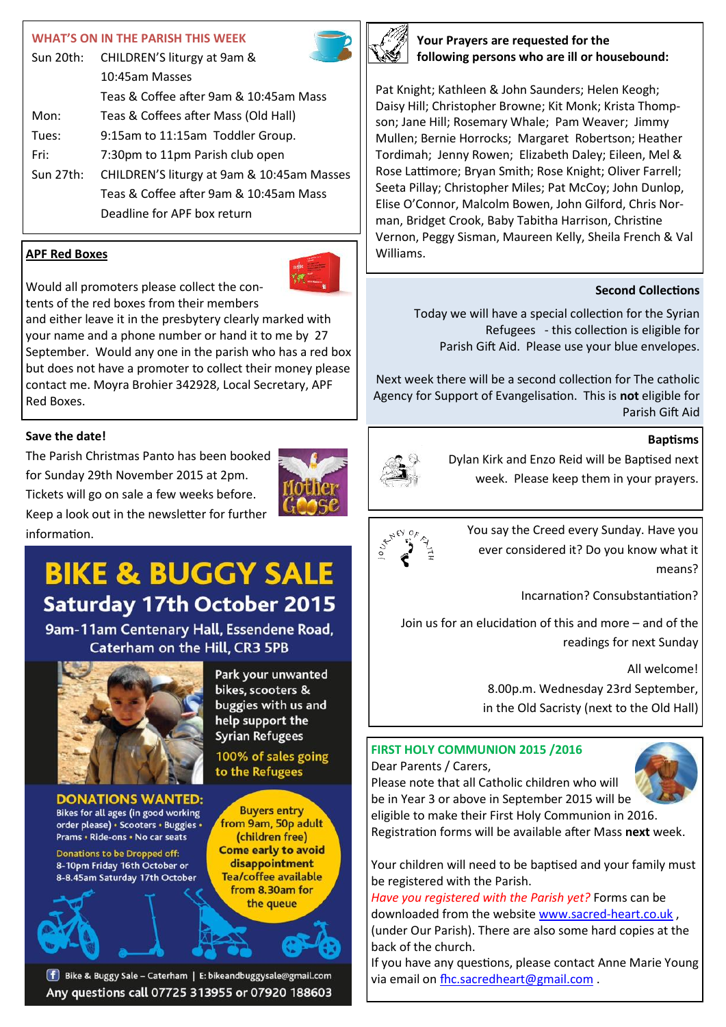#### **WHAT'S ON IN THE PARISH THIS WEEK**

| Sun 20th: | CHILDREN'S liturgy at 9am &                |  |
|-----------|--------------------------------------------|--|
|           | 10:45am Masses                             |  |
|           | Teas & Coffee after 9am & 10:45am Mass     |  |
| Mon:      | Teas & Coffees after Mass (Old Hall)       |  |
| Tues:     | 9:15am to 11:15am Toddler Group.           |  |
| Fri:      | 7:30pm to 11pm Parish club open            |  |
| Sun 27th: | CHILDREN'S liturgy at 9am & 10:45am Masses |  |
|           | Teas & Coffee after 9am & 10:45am Mass     |  |
|           | Deadline for APF box return                |  |

## **APF Red Boxes**



Would all promoters please collect the contents of the red boxes from their members

and either leave it in the presbytery clearly marked with your name and a phone number or hand it to me by 27 September. Would any one in the parish who has a red box but does not have a promoter to collect their money please contact me. Moyra Brohier 342928, Local Secretary, APF Red Boxes.

## **Save the date!**

The Parish Christmas Panto has been booked for Sunday 29th November 2015 at 2pm. Tickets will go on sale a few weeks before. Keep a look out in the newsletter for further



**BIKE & BUGGY SALE Saturday 17th October 2015** 

9am-11am Centenary Hall, Essendene Road, **Caterham on the Hill, CR3 5PB** 



**DONATIONS WANTED:** Bikes for all ages (in good working order please) · Scooters · Buggies · Prams . Ride-ons . No car seats

**Donations to be Dropped off:** 8-10pm Friday 16th October or 8-8.45am Saturday 17th October Park your unwanted bikes, scooters & buggies with us and help support the **Syrian Refugees** 

100% of sales going to the Refugees



**[f]** Bike & Buggy Sale - Caterham | E: bikeandbuggysale@gmail.com Any questions call 07725 313955 or 07920 188603



**Your Prayers are requested for the following persons who are ill or housebound:**

Pat Knight; Kathleen & John Saunders; Helen Keogh; Daisy Hill; Christopher Browne; Kit Monk; Krista Thompson; Jane Hill; Rosemary Whale; Pam Weaver; Jimmy Mullen; Bernie Horrocks; Margaret Robertson; Heather Tordimah; Jenny Rowen; Elizabeth Daley; Eileen, Mel & Rose Lattimore; Bryan Smith; Rose Knight; Oliver Farrell; Seeta Pillay; Christopher Miles; Pat McCoy; John Dunlop, Elise O'Connor, Malcolm Bowen, John Gilford, Chris Norman, Bridget Crook, Baby Tabitha Harrison, Christine Vernon, Peggy Sisman, Maureen Kelly, Sheila French & Val Williams.

#### **Second Collections**

Today we will have a special collection for the Syrian Refugees - this collection is eligible for Parish Gift Aid. Please use your blue envelopes.

Next week there will be a second collection for The catholic Agency for Support of Evangelisation. This is **not** eligible for Parish Gift Aid

#### **Baptisms**



Dylan Kirk and Enzo Reid will be Baptised next week. Please keep them in your prayers.



information.<br>  $\frac{1}{3}e^{\frac{x^2}{2}(\frac{x}{3})^2}$  You say the Creed every Sunday. Have you ever considered it? Do you know what it means?

Incarnation? Consubstantiation?

Join us for an elucidation of this and more – and of the readings for next Sunday

> All welcome! 8.00p.m. Wednesday 23rd September, in the Old Sacristy (next to the Old Hall)

# **FIRST HOLY COMMUNION 2015 /2016**

Dear Parents / Carers,



Please note that all Catholic children who will be in Year 3 or above in September 2015 will be eligible to make their First Holy Communion in 2016.

Registration forms will be available after Mass **next** week.

Your children will need to be baptised and your family must be registered with the Parish.

*Have you registered with the Parish yet?* Forms can be downloaded from the website [www.sacred](http://www.sacred-heart.co.uk)-heart.co.uk , (under Our Parish). There are also some hard copies at the back of the church.

If you have any questions, please contact Anne Marie Young via email on [fhc.sacredheart@gmail.com](mailto:fhc.sacredheart@gmail.com) .